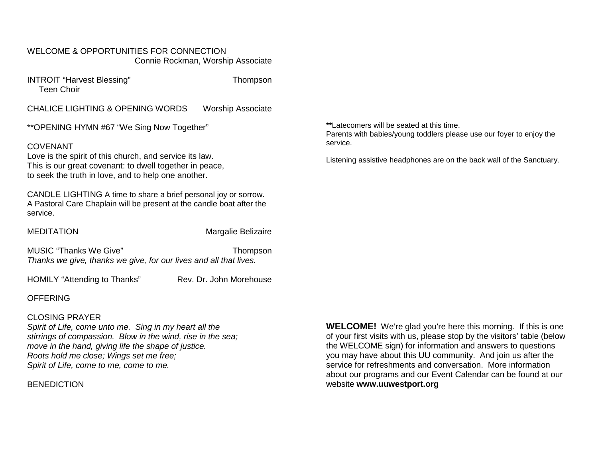### WELCOME & OPPORTUNITIES FOR CONNECTION Connie Rockman, Worship Associate

INTROIT "Harvest Blessing" Thompson Teen Choir

CHALICE LIGHTING & OPENING WORDS Worship Associate

\*\*OPENING HYMN #67 "We Sing Now Together"

### COVENANT

Love is the spirit of this church, and service its law. This is our great covenant: to dwell together in peace, to seek the truth in love, and to help one another.

CANDLE LIGHTING A time to share a brief personal joy or sorrow. A Pastoral Care Chaplain will be present at the candle boat after the service.

MEDITATION Margalie Belizaire

MUSIC "Thanks We Give" Thompson *Thanks we give, thanks we give, for our lives and all that lives.*

HOMILY "Attending to Thanks" Rev. Dr. John Morehouse

### **OFFERING**

### CLOSING PRAYER

*Spirit of Life, come unto me. Sing in my heart all the stirrings of compassion. Blow in the wind, rise in the sea; move in the hand, giving life the shape of justice. Roots hold me close; Wings set me free; Spirit of Life, come to me, come to me.*

### **BENEDICTION**

**\*\***Latecomers will be seated at this time. Parents with babies/young toddlers please use our foyer to enjoy the service.

Listening assistive headphones are on the back wall of the Sanctuary.

**WELCOME!** We're glad you're here this morning. If this is one of your first visits with us, please stop by the visitors' table (below the WELCOME sign) for information and answers to questions you may have about this UU community. And join us after the service for refreshments and conversation. More information about our programs and our Event Calendar can be found at our website **[www.uuwestport.org](http://www.uuwestport.org/)**